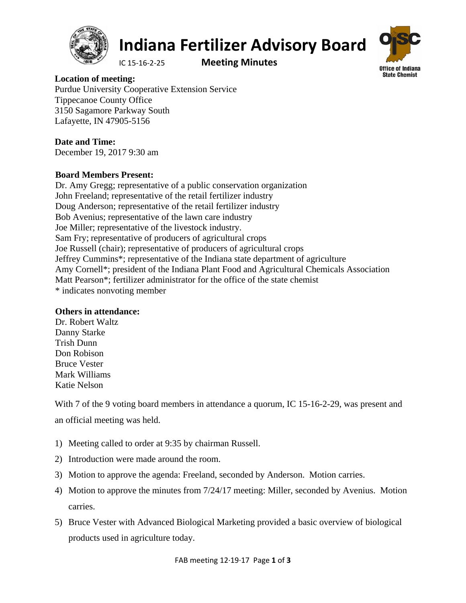

# **Indiana Fertilizer Advisory Board**

IC 15‐16‐2‐25 **Meeting Minutes**



**Location of meeting:**  Purdue University Cooperative Extension Service Tippecanoe County Office 3150 Sagamore Parkway South Lafayette, IN 47905-5156

## **Date and Time:**

December 19, 2017 9:30 am

## **Board Members Present:**

Dr. Amy Gregg; representative of a public conservation organization John Freeland; representative of the retail fertilizer industry Doug Anderson; representative of the retail fertilizer industry Bob Avenius; representative of the lawn care industry Joe Miller; representative of the livestock industry. Sam Fry; representative of producers of agricultural crops Joe Russell (chair); representative of producers of agricultural crops Jeffrey Cummins\*; representative of the Indiana state department of agriculture Amy Cornell\*; president of the Indiana Plant Food and Agricultural Chemicals Association Matt Pearson\*; fertilizer administrator for the office of the state chemist \* indicates nonvoting member

### **Others in attendance:**

Dr. Robert Waltz Danny Starke Trish Dunn Don Robison Bruce Vester Mark Williams Katie Nelson

With 7 of the 9 voting board members in attendance a quorum, IC 15-16-2-29, was present and an official meeting was held.

- 1) Meeting called to order at 9:35 by chairman Russell.
- 2) Introduction were made around the room.
- 3) Motion to approve the agenda: Freeland, seconded by Anderson. Motion carries.
- 4) Motion to approve the minutes from 7/24/17 meeting: Miller, seconded by Avenius. Motion carries.
- 5) Bruce Vester with Advanced Biological Marketing provided a basic overview of biological products used in agriculture today.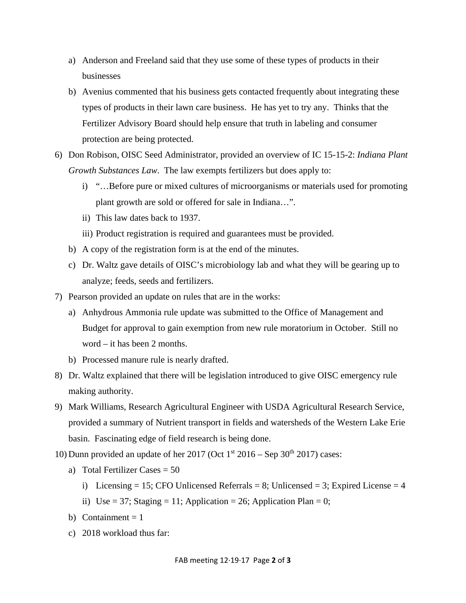- a) Anderson and Freeland said that they use some of these types of products in their businesses
- b) Avenius commented that his business gets contacted frequently about integrating these types of products in their lawn care business. He has yet to try any. Thinks that the Fertilizer Advisory Board should help ensure that truth in labeling and consumer protection are being protected.
- 6) Don Robison, OISC Seed Administrator, provided an overview of IC 15-15-2: *Indiana Plant Growth Substances Law*. The law exempts fertilizers but does apply to:
	- i) "…Before pure or mixed cultures of microorganisms or materials used for promoting plant growth are sold or offered for sale in Indiana…".
	- ii) This law dates back to 1937.
	- iii) Product registration is required and guarantees must be provided.
	- b) A copy of the registration form is at the end of the minutes.
	- c) Dr. Waltz gave details of OISC's microbiology lab and what they will be gearing up to analyze; feeds, seeds and fertilizers.
- 7) Pearson provided an update on rules that are in the works:
	- a) Anhydrous Ammonia rule update was submitted to the Office of Management and Budget for approval to gain exemption from new rule moratorium in October. Still no word – it has been 2 months.
	- b) Processed manure rule is nearly drafted.
- 8) Dr. Waltz explained that there will be legislation introduced to give OISC emergency rule making authority.
- 9) Mark Williams, Research Agricultural Engineer with USDA Agricultural Research Service, provided a summary of Nutrient transport in fields and watersheds of the Western Lake Erie basin. Fascinating edge of field research is being done.
- 10) Dunn provided an update of her 2017 (Oct  $1<sup>st</sup>$  2016 Sep 30<sup>th</sup> 2017) cases:
	- a) Total Fertilizer Cases  $= 50$ 
		- i) Licensing = 15; CFO Unlicensed Referrals = 8; Unlicensed = 3; Expired License = 4
		- ii) Use = 37; Staging = 11; Application = 26; Application Plan = 0;
	- b) Containment  $= 1$
	- c) 2018 workload thus far: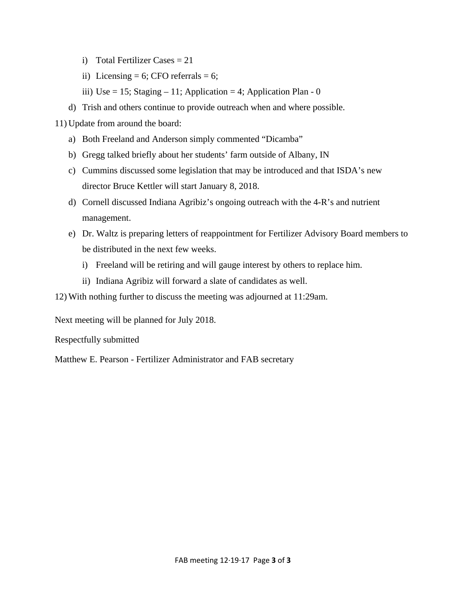- i) Total Fertilizer Cases  $= 21$
- ii) Licensing = 6; CFO referrals = 6;
- iii) Use = 15; Staging  $-11$ ; Application = 4; Application Plan 0
- d) Trish and others continue to provide outreach when and where possible.

11) Update from around the board:

- a) Both Freeland and Anderson simply commented "Dicamba"
- b) Gregg talked briefly about her students' farm outside of Albany, IN
- c) Cummins discussed some legislation that may be introduced and that ISDA's new director Bruce Kettler will start January 8, 2018.
- d) Cornell discussed Indiana Agribiz's ongoing outreach with the 4-R's and nutrient management.
- e) Dr. Waltz is preparing letters of reappointment for Fertilizer Advisory Board members to be distributed in the next few weeks.
	- i) Freeland will be retiring and will gauge interest by others to replace him.
	- ii) Indiana Agribiz will forward a slate of candidates as well.

12) With nothing further to discuss the meeting was adjourned at 11:29am.

Next meeting will be planned for July 2018.

Respectfully submitted

Matthew E. Pearson - Fertilizer Administrator and FAB secretary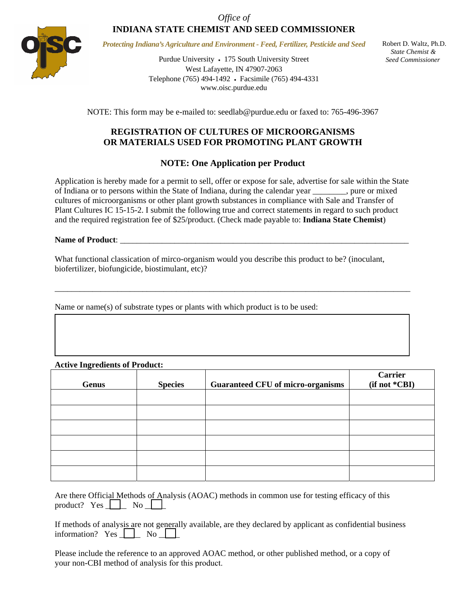*Office of*  **INDIANA STATE CHEMIST AND SEED COMMISSIONER** 



*Protecting Indiana's Agriculture and Environment - Feed, Fertilizer, Pesticide and Seed* 

Purdue University • 175 South University Street West Lafayette, IN 47907-2063 Telephone (765) 494-1492 Facsimile (765) 494-4331 www.oisc.purdue.edu

 Robert D. Waltz, Ph.D.  *State Chemist & Seed Commissioner*

NOTE: This form may be e-mailed to: seedlab@purdue.edu or faxed to: 765-496-3967

### **REGISTRATION OF CULTURES OF MICROORGANISMS OR MATERIALS USED FOR PROMOTING PLANT GROWTH**

#### **NOTE: One Application per Product**

Application is hereby made for a permit to sell, offer or expose for sale, advertise for sale within the State of Indiana or to persons within the State of Indiana, during the calendar year \_\_\_\_\_\_\_\_, pure or mixed cultures of microorganisms or other plant growth substances in compliance with Sale and Transfer of Plant Cultures IC 15-15-2. I submit the following true and correct statements in regard to such product and the required registration fee of \$25/product. (Check made payable to: **Indiana State Chemist**)

#### Name of Product:

What functional classication of mirco-organism would you describe this product to be? (inoculant, biofertilizer, biofungicide, biostimulant, etc)?

\_\_\_\_\_\_\_\_\_\_\_\_\_\_\_\_\_\_\_\_\_\_\_\_\_\_\_\_\_\_\_\_\_\_\_\_\_\_\_\_\_\_\_\_\_\_\_\_\_\_\_\_\_\_\_\_\_\_\_\_\_\_\_\_\_\_\_\_\_\_\_\_\_\_\_\_\_\_\_\_\_\_\_\_\_

Name or name(s) of substrate types or plants with which product is to be used:

#### **Active Ingredients of Product:**

| <b>Genus</b> | <b>Species</b> | <b>Guaranteed CFU of micro-organisms</b> | <b>Carrier</b><br>(if not *CBI) |
|--------------|----------------|------------------------------------------|---------------------------------|
|              |                |                                          |                                 |
|              |                |                                          |                                 |
|              |                |                                          |                                 |
|              |                |                                          |                                 |
|              |                |                                          |                                 |
|              |                |                                          |                                 |

|                           |  | Are there Official Methods of Analysis (AOAC) methods in common use for testing efficacy of this |  |  |  |
|---------------------------|--|--------------------------------------------------------------------------------------------------|--|--|--|
| product? $Yes \t No \t N$ |  |                                                                                                  |  |  |  |

|  |  |  |  |  | If methods of analysis are not generally available, are they declared by applicant as confidential business information? Yes $\Box$ No |  |
|--|--|--|--|--|----------------------------------------------------------------------------------------------------------------------------------------|--|

Please include the reference to an approved AOAC method, or other published method, or a copy of your non-CBI method of analysis for this product.